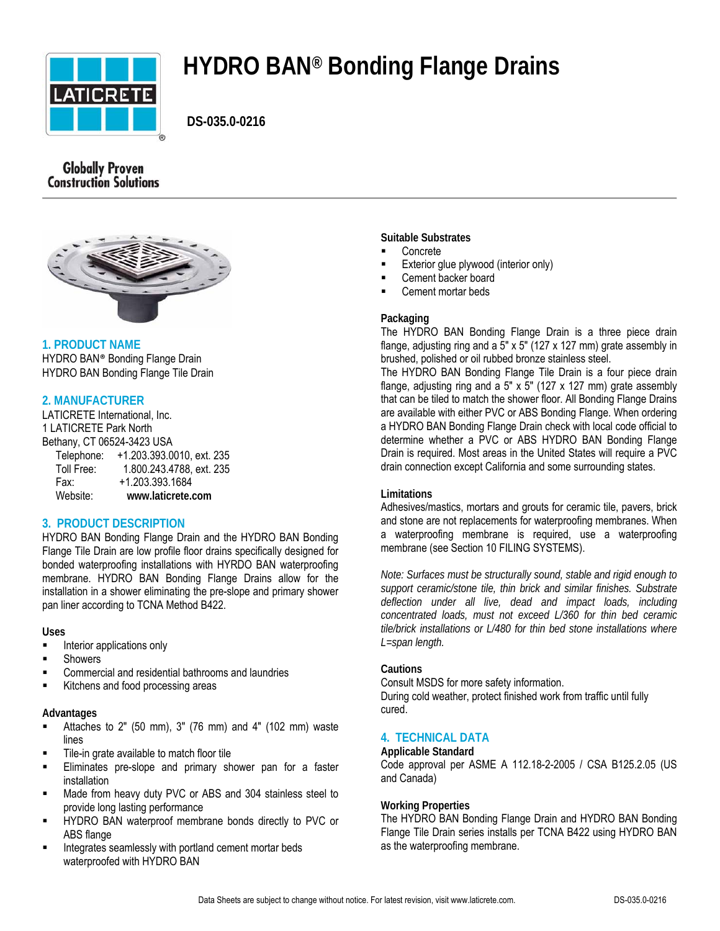

# **HYDRO BAN® Bonding Flange Drains**

 **DS-035.0-0216**

## **Globally Proven Construction Solutions**



## **1. PRODUCT NAME**

HYDRO BAN® Bonding Flange Drain HYDRO BAN Bonding Flange Tile Drain

## **2. MANUFACTURER**

LATICRETE International, Inc. 1 LATICRETE Park North Bethany, CT 06524-3423 USA Telephone: +1.203.393.0010, ext. 235 Toll Free: 1.800.243.4788, ext. 235 Fax: +1.203.393.1684<br>Website: www.laticrete.c Website: **www.laticrete.com**

## **3. PRODUCT DESCRIPTION**

HYDRO BAN Bonding Flange Drain and the HYDRO BAN Bonding Flange Tile Drain are low profile floor drains specifically designed for bonded waterproofing installations with HYRDO BAN waterproofing membrane. HYDRO BAN Bonding Flange Drains allow for the installation in a shower eliminating the pre-slope and primary shower pan liner according to TCNA Method B422.

#### **Uses**

- Interior applications only
- Showers
- Commercial and residential bathrooms and laundries
- Kitchens and food processing areas

#### **Advantages**

- Attaches to 2" (50 mm), 3" (76 mm) and 4" (102 mm) waste lines
- Tile-in grate available to match floor tile
- Eliminates pre-slope and primary shower pan for a faster installation
- Made from heavy duty PVC or ABS and 304 stainless steel to provide long lasting performance
- HYDRO BAN waterproof membrane bonds directly to PVC or ABS flange
- Integrates seamlessly with portland cement mortar beds waterproofed with HYDRO BAN

#### **Suitable Substrates**

- Concrete
- Exterior glue plywood (interior only)
- Cement backer board
- Cement mortar beds

## **Packaging**

The HYDRO BAN Bonding Flange Drain is a three piece drain flange, adjusting ring and a 5" x 5" (127 x 127 mm) grate assembly in brushed, polished or oil rubbed bronze stainless steel.

The HYDRO BAN Bonding Flange Tile Drain is a four piece drain flange, adjusting ring and a 5" x 5" (127 x 127 mm) grate assembly that can be tiled to match the shower floor. All Bonding Flange Drains are available with either PVC or ABS Bonding Flange. When ordering a HYDRO BAN Bonding Flange Drain check with local code official to determine whether a PVC or ABS HYDRO BAN Bonding Flange Drain is required. Most areas in the United States will require a PVC drain connection except California and some surrounding states.

#### **Limitations**

Adhesives/mastics, mortars and grouts for ceramic tile, pavers, brick and stone are not replacements for waterproofing membranes. When a waterproofing membrane is required, use a waterproofing membrane (see Section 10 FILING SYSTEMS).

*Note: Surfaces must be structurally sound, stable and rigid enough to support ceramic/stone tile, thin brick and similar finishes. Substrate deflection under all live, dead and impact loads, including concentrated loads, must not exceed L/360 for thin bed ceramic tile/brick installations or L/480 for thin bed stone installations where L=span length.* 

#### **Cautions**

Consult MSDS for more safety information. During cold weather, protect finished work from traffic until fully cured.

## **4. TECHNICAL DATA**

## **Applicable Standard**

Code approval per ASME A 112.18-2-2005 / CSA B125.2.05 (US and Canada)

#### **Working Properties**

The HYDRO BAN Bonding Flange Drain and HYDRO BAN Bonding Flange Tile Drain series installs per TCNA B422 using HYDRO BAN as the waterproofing membrane.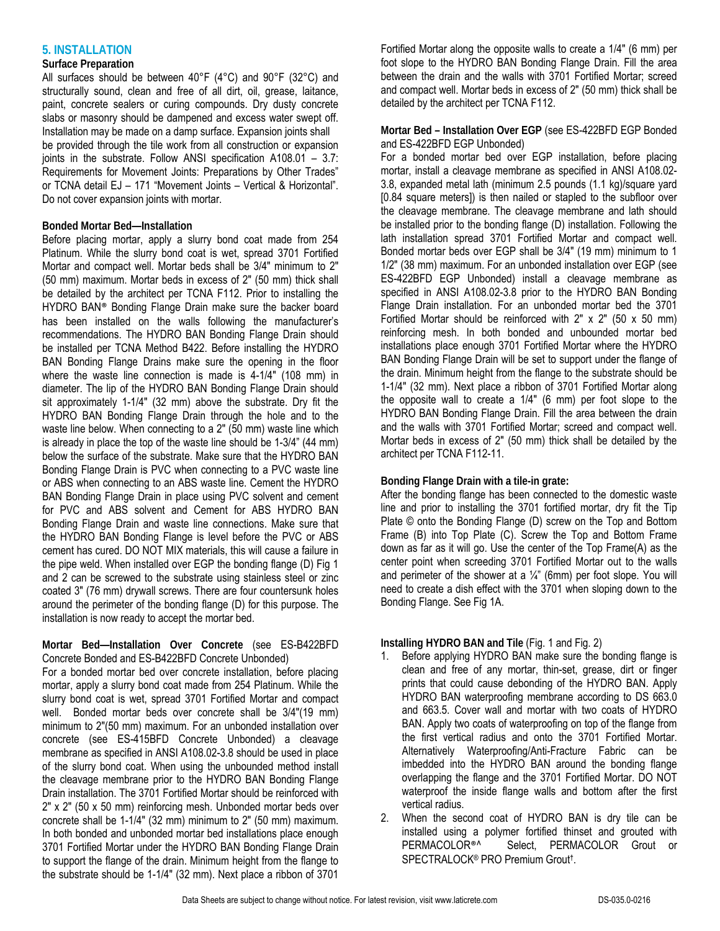## **5. INSTALLATION**

## **Surface Preparation**

All surfaces should be between 40°F (4°C) and 90°F (32°C) and structurally sound, clean and free of all dirt, oil, grease, laitance, paint, concrete sealers or curing compounds. Dry dusty concrete slabs or masonry should be dampened and excess water swept off. Installation may be made on a damp surface. Expansion joints shall be provided through the tile work from all construction or expansion joints in the substrate. Follow ANSI specification A108.01 - 3.7: Requirements for Movement Joints: Preparations by Other Trades" or TCNA detail EJ – 171 "Movement Joints – Vertical & Horizontal". Do not cover expansion joints with mortar.

## **Bonded Mortar Bed—Installation**

Before placing mortar, apply a slurry bond coat made from 254 Platinum. While the slurry bond coat is wet, spread 3701 Fortified Mortar and compact well. Mortar beds shall be 3/4" minimum to 2" (50 mm) maximum. Mortar beds in excess of 2" (50 mm) thick shall be detailed by the architect per TCNA F112. Prior to installing the HYDRO BAN® Bonding Flange Drain make sure the backer board has been installed on the walls following the manufacturer's recommendations. The HYDRO BAN Bonding Flange Drain should be installed per TCNA Method B422. Before installing the HYDRO BAN Bonding Flange Drains make sure the opening in the floor where the waste line connection is made is 4-1/4" (108 mm) in diameter. The lip of the HYDRO BAN Bonding Flange Drain should sit approximately 1-1/4" (32 mm) above the substrate. Dry fit the HYDRO BAN Bonding Flange Drain through the hole and to the waste line below. When connecting to a 2" (50 mm) waste line which is already in place the top of the waste line should be 1-3/4" (44 mm) below the surface of the substrate. Make sure that the HYDRO BAN Bonding Flange Drain is PVC when connecting to a PVC waste line or ABS when connecting to an ABS waste line. Cement the HYDRO BAN Bonding Flange Drain in place using PVC solvent and cement for PVC and ABS solvent and Cement for ABS HYDRO BAN Bonding Flange Drain and waste line connections. Make sure that the HYDRO BAN Bonding Flange is level before the PVC or ABS cement has cured. DO NOT MIX materials, this will cause a failure in the pipe weld. When installed over EGP the bonding flange (D) Fig 1 and 2 can be screwed to the substrate using stainless steel or zinc coated 3" (76 mm) drywall screws. There are four countersunk holes around the perimeter of the bonding flange (D) for this purpose. The installation is now ready to accept the mortar bed.

## **Mortar Bed—Installation Over Concrete** (see ES-B422BFD Concrete Bonded and ES-B422BFD Concrete Unbonded)

For a bonded mortar bed over concrete installation, before placing mortar, apply a slurry bond coat made from 254 Platinum. While the slurry bond coat is wet, spread 3701 Fortified Mortar and compact well. Bonded mortar beds over concrete shall be 3/4"(19 mm) minimum to 2"(50 mm) maximum. For an unbonded installation over concrete (see ES-415BFD Concrete Unbonded) a cleavage membrane as specified in ANSI A108.02-3.8 should be used in place of the slurry bond coat. When using the unbounded method install the cleavage membrane prior to the HYDRO BAN Bonding Flange Drain installation. The 3701 Fortified Mortar should be reinforced with 2" x 2" (50 x 50 mm) reinforcing mesh. Unbonded mortar beds over concrete shall be 1-1/4" (32 mm) minimum to 2" (50 mm) maximum. In both bonded and unbonded mortar bed installations place enough 3701 Fortified Mortar under the HYDRO BAN Bonding Flange Drain to support the flange of the drain. Minimum height from the flange to the substrate should be 1-1/4" (32 mm). Next place a ribbon of 3701

Fortified Mortar along the opposite walls to create a 1/4" (6 mm) per foot slope to the HYDRO BAN Bonding Flange Drain. Fill the area between the drain and the walls with 3701 Fortified Mortar; screed and compact well. Mortar beds in excess of 2" (50 mm) thick shall be detailed by the architect per TCNA F112.

## **Mortar Bed – Installation Over EGP** (see ES-422BFD EGP Bonded and ES-422BFD EGP Unbonded)

For a bonded mortar bed over EGP installation, before placing mortar, install a cleavage membrane as specified in ANSI A108.02- 3.8, expanded metal lath (minimum 2.5 pounds (1.1 kg)/square yard [0.84 square meters]) is then nailed or stapled to the subfloor over the cleavage membrane. The cleavage membrane and lath should be installed prior to the bonding flange (D) installation. Following the lath installation spread 3701 Fortified Mortar and compact well. Bonded mortar beds over EGP shall be 3/4" (19 mm) minimum to 1 1/2" (38 mm) maximum. For an unbonded installation over EGP (see ES-422BFD EGP Unbonded) install a cleavage membrane as specified in ANSI A108.02-3.8 prior to the HYDRO BAN Bonding Flange Drain installation. For an unbonded mortar bed the 3701 Fortified Mortar should be reinforced with  $2" \times 2"$  (50  $\times$  50 mm) reinforcing mesh. In both bonded and unbounded mortar bed installations place enough 3701 Fortified Mortar where the HYDRO BAN Bonding Flange Drain will be set to support under the flange of the drain. Minimum height from the flange to the substrate should be 1-1/4" (32 mm). Next place a ribbon of 3701 Fortified Mortar along the opposite wall to create a 1/4" (6 mm) per foot slope to the HYDRO BAN Bonding Flange Drain. Fill the area between the drain and the walls with 3701 Fortified Mortar; screed and compact well. Mortar beds in excess of 2" (50 mm) thick shall be detailed by the architect per TCNA F112-11.

## **Bonding Flange Drain with a tile-in grate:**

After the bonding flange has been connected to the domestic waste line and prior to installing the 3701 fortified mortar, dry fit the Tip Plate © onto the Bonding Flange (D) screw on the Top and Bottom Frame (B) into Top Plate (C). Screw the Top and Bottom Frame down as far as it will go. Use the center of the Top Frame(A) as the center point when screeding 3701 Fortified Mortar out to the walls and perimeter of the shower at a  $\frac{1}{4}$ " (6mm) per foot slope. You will need to create a dish effect with the 3701 when sloping down to the Bonding Flange. See Fig 1A.

## **Installing HYDRO BAN and Tile** (Fig. 1 and Fig. 2)

- 1. Before applying HYDRO BAN make sure the bonding flange is clean and free of any mortar, thin-set, grease, dirt or finger prints that could cause debonding of the HYDRO BAN. Apply HYDRO BAN waterproofing membrane according to DS 663.0 and 663.5. Cover wall and mortar with two coats of HYDRO BAN. Apply two coats of waterproofing on top of the flange from the first vertical radius and onto the 3701 Fortified Mortar. Alternatively Waterproofing/Anti-Fracture Fabric can be imbedded into the HYDRO BAN around the bonding flange overlapping the flange and the 3701 Fortified Mortar. DO NOT waterproof the inside flange walls and bottom after the first vertical radius.
- 2. When the second coat of HYDRO BAN is dry tile can be installed using a polymer fortified thinset and grouted with PERMACOLOR®^ Select, PERMACOLOR Grout or SPECTRALOCK® PRO Premium Grout**†**.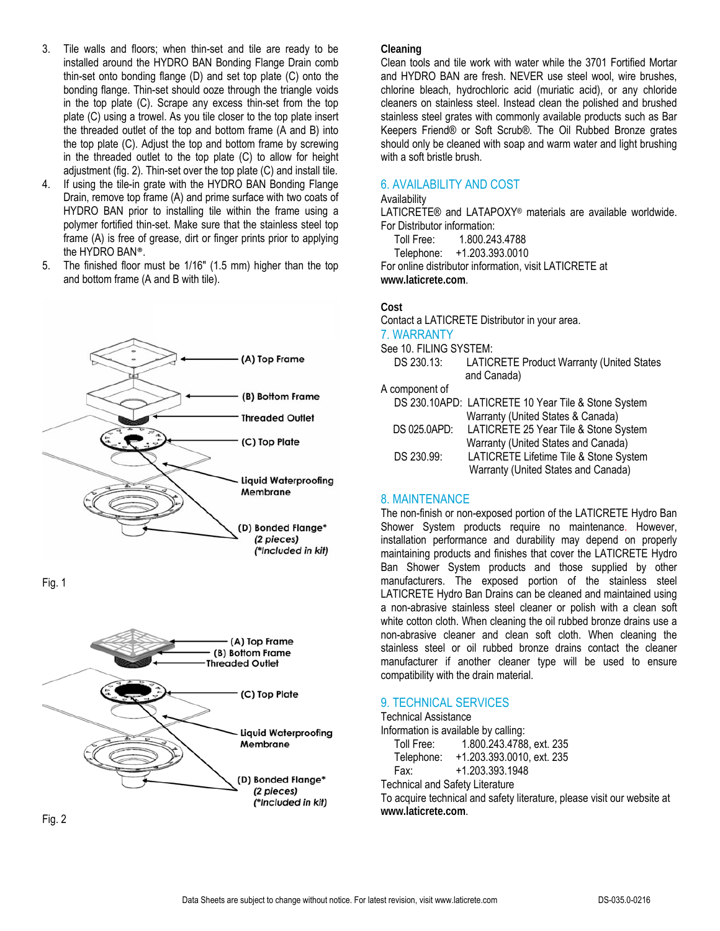- 3. Tile walls and floors; when thin-set and tile are ready to be installed around the HYDRO BAN Bonding Flange Drain comb thin-set onto bonding flange (D) and set top plate (C) onto the bonding flange. Thin-set should ooze through the triangle voids in the top plate (C). Scrape any excess thin-set from the top plate (C) using a trowel. As you tile closer to the top plate insert the threaded outlet of the top and bottom frame (A and B) into the top plate (C). Adjust the top and bottom frame by screwing in the threaded outlet to the top plate (C) to allow for height adjustment (fig. 2). Thin-set over the top plate (C) and install tile.
- 4. If using the tile-in grate with the HYDRO BAN Bonding Flange Drain, remove top frame (A) and prime surface with two coats of HYDRO BAN prior to installing tile within the frame using a polymer fortified thin-set. Make sure that the stainless steel top frame (A) is free of grease, dirt or finger prints prior to applying the HYDRO BAN®.
- 5. The finished floor must be 1/16" (1.5 mm) higher than the top and bottom frame (A and B with tile).



Fig. 1



Fig. 2

#### **Cleaning**

Clean tools and tile work with water while the 3701 Fortified Mortar and HYDRO BAN are fresh. NEVER use steel wool, wire brushes, chlorine bleach, hydrochloric acid (muriatic acid), or any chloride cleaners on stainless steel. Instead clean the polished and brushed stainless steel grates with commonly available products such as Bar Keepers Friend® or Soft Scrub®. The Oil Rubbed Bronze grates should only be cleaned with soap and warm water and light brushing with a soft bristle brush.

## 6. AVAILABILITY AND COST

#### **Availability**

LATICRETE® and LATAPOXY® materials are available worldwide. For Distributor information:

Toll Free: 1.800.243.4788

Telephone: +1.203.393.0010

For online distributor information, visit LATICRETE at **www.laticrete.com**.

#### **Cost**

Contact a LATICRETE Distributor in your area.

## 7. WARRANTY

See 10. FILING SYSTEM:<br>DS 230.13: LATIC

LATICRETE Product Warranty (United States and Canada)

A component of

|              | DS 230.10APD: LATICRETE 10 Year Tile & Stone System |
|--------------|-----------------------------------------------------|
|              | Warranty (United States & Canada)                   |
| DS 025.0APD: | LATICRETE 25 Year Tile & Stone System               |
|              | Warranty (United States and Canada)                 |
| DS 230.99:   | LATICRETE Lifetime Tile & Stone System              |
|              | Warranty (United States and Canada)                 |

#### 8. MAINTENANCE

The non-finish or non-exposed portion of the LATICRETE Hydro Ban Shower System products require no maintenance. However, installation performance and durability may depend on properly maintaining products and finishes that cover the LATICRETE Hydro Ban Shower System products and those supplied by other manufacturers. The exposed portion of the stainless steel LATICRETE Hydro Ban Drains can be cleaned and maintained using a non-abrasive stainless steel cleaner or polish with a clean soft white cotton cloth. When cleaning the oil rubbed bronze drains use a non-abrasive cleaner and clean soft cloth. When cleaning the stainless steel or oil rubbed bronze drains contact the cleaner manufacturer if another cleaner type will be used to ensure compatibility with the drain material.

## 9. TECHNICAL SERVICES

Technical Assistance

Information is available by calling:

 Toll Free: 1.800.243.4788, ext. 235 Telephone: +1.203.393.0010, ext. 235

Fax: +1.203.393.1948

Technical and Safety Literature

To acquire technical and safety literature, please visit our website at **www.laticrete.com**.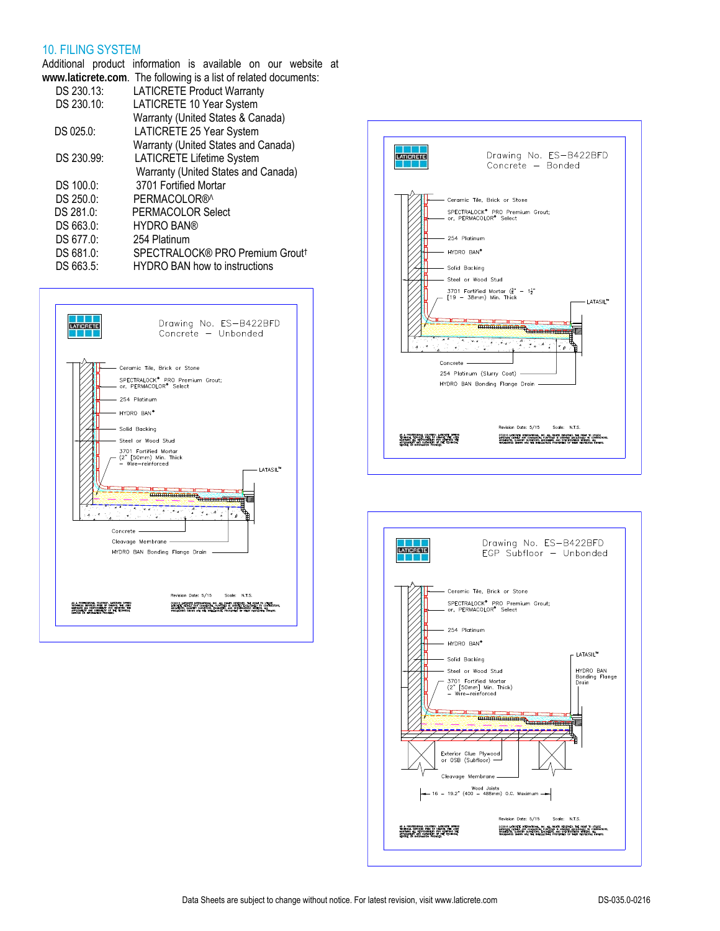## 10. FILING SYSTEM

Additional product information is available on our website at **www.laticrete.com**. The following is a list of related documents:

|            | www.nationologic.com. The following id a list of foldtoa adoamont |
|------------|-------------------------------------------------------------------|
| DS 230.13: | <b>LATICRETE Product Warranty</b>                                 |
| DS 230.10: | LATICRETE 10 Year System                                          |
|            | Warranty (United States & Canada)                                 |
| DS 025.0:  | LATICRETE 25 Year System                                          |
|            | Warranty (United States and Canada)                               |
| DS 230.99: | <b>LATICRETE Lifetime System</b>                                  |
|            | Warranty (United States and Canada)                               |
| DS 100.0:  | 3701 Fortified Mortar                                             |
| DS 250.0:  | PERMACOLOR®^                                                      |
| DS 281.0:  | PERMACOLOR Select                                                 |
| DS 663.0:  | <b>HYDRO BAN®</b>                                                 |
| DS 677.0:  | 254 Platinum                                                      |
| DS 681.0:  | SPECTRALOCK® PRO Premium Grout <sup>†</sup>                       |
| DS 663.5:  | <b>HYDRO BAN how to instructions</b>                              |
|            |                                                                   |